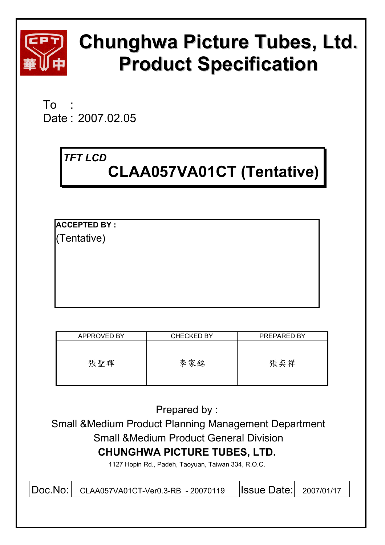

# **Chunghwa Picture Tubes, Ltd. Product Specification**

 $To$ Date : 2007.02.05

## *TFT LCD*

## **CLAA057VA01CT (Tentative)**

**ACCEPTED BY :**  (Tentative)

| APPROVED BY | <b>CHECKED BY</b> | PREPARED BY |
|-------------|-------------------|-------------|
| 張聖暉         | 李家銘               | 張奕祥         |

Prepared by :

 Small &Medium Product Planning Management Department Small &Medium Product General Division **CHUNGHWA PICTURE TUBES, LTD.** 

1127 Hopin Rd., Padeh, Taoyuan, Taiwan 334, R.O.C.

| Doc.No: CLAA057VA01CT-Ver0.3-RB - 20070119   SSUE Date: 2007/01/17 |  |
|--------------------------------------------------------------------|--|
|--------------------------------------------------------------------|--|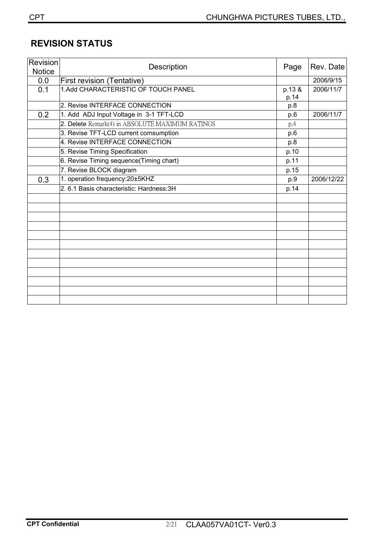## **REVISION STATUS**

| Revision<br><b>Notice</b> | Description                                     | Page           | Rev. Date  |
|---------------------------|-------------------------------------------------|----------------|------------|
| 0.0                       | First revision (Tentative)                      |                | 2006/9/15  |
| 0.1                       | 1.Add CHARACTERISTIC OF TOUCH PANEL             | p.13 &<br>p.14 | 2006/11/7  |
|                           | 2. Revise INTERFACE CONNECTION                  | p.8            |            |
| 0.2                       | 1. Add ADJ Input Voltage in 3-1 TFT-LCD         | p.6            | 2006/11/7  |
|                           | 2. Delete Remark(4) in ABSOLUTE MAXIMUM RATINGS | p.4            |            |
|                           | 3. Revise TFT-LCD current comsumption           | p.6            |            |
|                           | 4. Revise INTERFACE CONNECTION                  | p.8            |            |
|                           | 5. Revise Timing Specification                  | p.10           |            |
|                           | 6. Revise Timing sequence(Timing chart)         | p.11           |            |
|                           | 7. Revise BLOCK diagram                         | p.15           |            |
| 0.3                       | 1. operation frequency: 20±5KHZ                 | p.9            | 2006/12/22 |
|                           | 2.6.1 Basis characteristic: Hardness: 3H        | p.14           |            |
|                           |                                                 |                |            |
|                           |                                                 |                |            |
|                           |                                                 |                |            |
|                           |                                                 |                |            |
|                           |                                                 |                |            |
|                           |                                                 |                |            |
|                           |                                                 |                |            |
|                           |                                                 |                |            |
|                           |                                                 |                |            |
|                           |                                                 |                |            |
|                           |                                                 |                |            |
|                           |                                                 |                |            |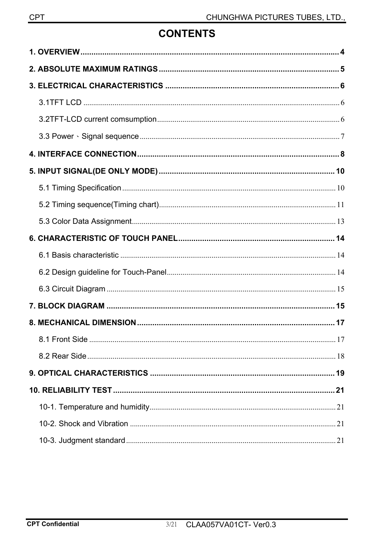## **CONTENTS**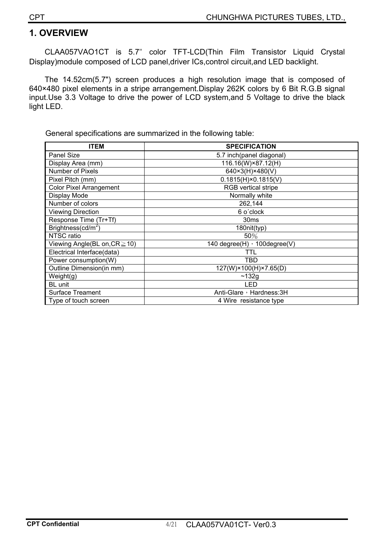#### **1. OVERVIEW**

CLAA057VAO1CT is 5.7ʵ color TFT-LCD(Thin Film Transistor Liquid Crystal Display)module composed of LCD panel,driver ICs,control circuit,and LED backlight.

The 14.52cm(5.7") screen produces a high resolution image that is composed of 640×480 pixel elements in a stripe arrangement.Display 262K colors by 6 Bit R.G.B signal input.Use 3.3 Voltage to drive the power of LCD system,and 5 Voltage to drive the black light LED.

General specifications are summarized in the following table:

| <b>ITEM</b>                        | <b>SPECIFICATION</b>                            |
|------------------------------------|-------------------------------------------------|
| Panel Size                         | 5.7 inch(panel diagonal)                        |
| Display Area (mm)                  | 116.16(W)×87.12(H)                              |
| Number of Pixels                   | 640×3(H)×480(V)                                 |
| Pixel Pitch (mm)                   | $0.1815(H) \times 0.1815(V)$                    |
| <b>Color Pixel Arrangement</b>     | <b>RGB</b> vertical stripe                      |
| Display Mode                       | Normally white                                  |
| Number of colors                   | 262,144                                         |
| <b>Viewing Direction</b>           | 6 o'clock                                       |
| Response Time (Tr+Tf)              | 30 <sub>ms</sub>                                |
| Brightness( $cd/m2$ )              | 180nit(typ)                                     |
| NTSC ratio                         | 50%                                             |
| Viewing Angle(BL on, $CR \ge 10$ ) | $\overline{140}$ degree(H) $\cdot$ 100degree(V) |
| Electrical Interface(data)         | TTL                                             |
| Power consumption(W)               | TBD                                             |
| Outline Dimension(in mm)           | 127(W)×100(H)×7.65(D)                           |
| Weight(g)                          | ~132g                                           |
| BL unit                            | LED                                             |
| <b>Surface Treament</b>            | Anti-Glare, Hardness: 3H                        |
| Type of touch screen               | 4 Wire resistance type                          |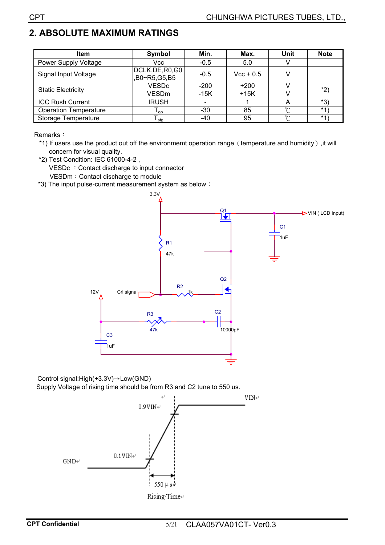## **2. ABSOLUTE MAXIMUM RATINGS**

| <b>Item</b>                  | Min.<br>Symbol                             |        | Max.        | <b>Unit</b> | <b>Note</b> |
|------------------------------|--------------------------------------------|--------|-------------|-------------|-------------|
| <b>Power Supply Voltage</b>  | Vcc                                        | $-0.5$ | 5.0         |             |             |
| Signal Input Voltage         | DCLK, DE, R0, G0<br>$-0.5$<br>B0~R5,G5,B5, |        | $Vec + 0.5$ |             |             |
| <b>Static Electricity</b>    | <b>VESDc</b>                               | $-200$ | $+200$      |             | *2)         |
|                              | <b>VESDm</b>                               | $-15K$ | $+15K$      |             |             |
| <b>ICC Rush Current</b>      | <b>IRUSH</b>                               |        |             |             | $*3)$       |
| <b>Operation Temperature</b> | $\mathsf{I}_{\mathsf{op}}$                 | $-30$  | 85          | $\sim$      | $*1$        |
| Storage Temperature          | l <sub>stq</sub>                           | -40    | 95          | $\sim$      | $*1$        |

Remarks:

- \*1) If users use the product out off the environmemt operation range (temperature and humidity), it will concern for visual quality.
- \*2) Test Condition: IEC 61000-4-2 , VESDc : Contact discharge to input connector VESDm: Contact discharge to module
- \*3) The input pulse-current measurement system as below:



Control signal: $High(+3.3V) \rightarrow Low(GND)$ Supply Voltage of rising time should be from R3 and C2 tune to 550 us.

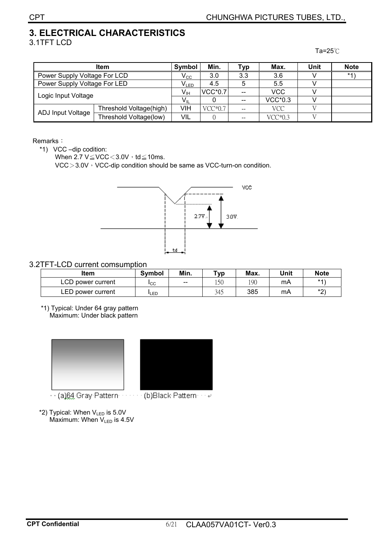## **3. ELECTRICAL CHARACTERISTICS**   $3.1$ TFT LCD  $\overline{a}$ =25°C

|                              | Symbol                      | Min.            | <b>Typ</b> | Max.                     | Unit           | <b>Note</b> |  |
|------------------------------|-----------------------------|-----------------|------------|--------------------------|----------------|-------------|--|
| Power Supply Voltage For LCD | $\rm V_{CC}$                | 3.0             | 3.3        | 3.6                      |                | $*4)$       |  |
| Power Supply Voltage For LED | $\mathsf{V}_{\mathsf{LED}}$ | 4.5             |            | 5.5                      |                |             |  |
| Logic Input Voltage          |                             | $V_{\text{IH}}$ | $VCC*0.7$  | $\overline{a}$           | <b>VCC</b>     |             |  |
|                              |                             | $V_{\rm II}$    |            | $\overline{\phantom{m}}$ | <b>VCC*0.3</b> |             |  |
|                              | Threshold Voltage(high)     | VIH             | $VCC*0.7$  | $- -$                    | <b>VCC</b>     |             |  |
| ADJ Input Voltage            | Threshold Voltage(low)      | VIL             |            | $- -$                    | $VCC*0.3$      |             |  |

#### Remarks:

\*1) VCC –dip codition:

When  $2.7 \text{ V} \leq \text{VCC} \leq 3.0 \text{ V} \cdot \text{td} \leq 10 \text{ms}.$ 

VCC $>$ 3.0V  $\cdot$  VCC-dip condition should be same as VCC-turn-on condition.



#### 3.2TFT-LCD current comsumption

| ltem              | <b>Symbol</b> | Min.  | ⊤ур | Max. | Unit | <b>Note</b> |
|-------------------|---------------|-------|-----|------|------|-------------|
| LCD power current | <b>I</b> CC   | $- -$ | 150 | 190  | mA   | $*4$        |
| LED power current | LED           |       | 345 | 385  | mA   | $*$         |

 \*1) Typical: Under 64 gray pattern Maximum: Under black pattern



- 
- \*2) Typical: When  $V_{LED}$  is 5.0V Maximum: When  $V_{LED}$  is 4.5V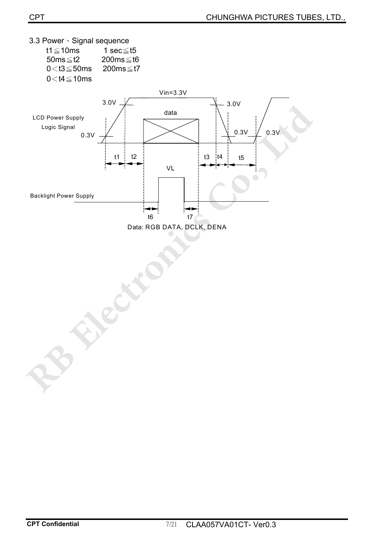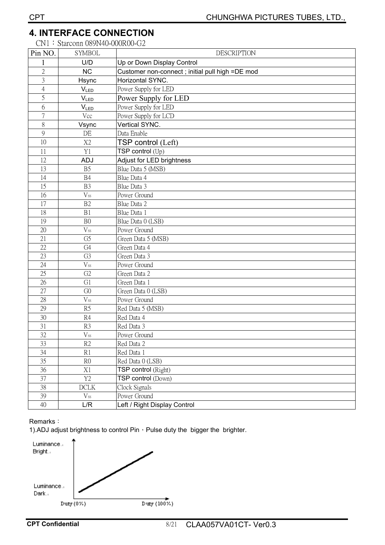### **4. INTERFACE CONNECTION**

CN1: Starconn 089N40-000R00-G2

| Pin NO.        | <b>SYMBOL</b>               | <b>DESCRIPTION</b>                               |
|----------------|-----------------------------|--------------------------------------------------|
|                | U/D                         | Up or Down Display Control                       |
| $\overline{2}$ | <b>NC</b>                   | Customer non-connect ; initial pull high =DE mod |
| $\overline{3}$ | Hsync                       | Horizontal SYNC.                                 |
| $\overline{4}$ | $V_{LED}$                   | Power Supply for LED                             |
| 5              | $\mathsf{V}_{\mathsf{LED}}$ | Power Supply for LED                             |
| 6              | $V_{LED}$                   | Power Supply for LED                             |
| $\overline{7}$ | Vcc                         | Power Supply for LCD                             |
| 8              | Vsync                       | Vertical SYNC.                                   |
| 9              | DE                          | Data Enable                                      |
| 10             | X <sub>2</sub>              | TSP control (Left)                               |
| 11             | Y1                          | TSP control $(U_p)$                              |
| 12             | ADJ                         | Adjust for LED brightness                        |
| 13             | B <sub>5</sub>              | Blue Data 5 (MSB)                                |
| 14             | B4                          | Blue Data 4                                      |
| 15             | B <sub>3</sub>              | Blue Data 3                                      |
| 16             | $V_{ss}$                    | Power Ground                                     |
| 17             | B <sub>2</sub>              | Blue Data 2                                      |
| 18             | B1                          | Blue Data 1                                      |
| 19             | B <sub>0</sub>              | Blue Data 0 (LSB)                                |
| 20             | $V_{ss}$                    | Power Ground                                     |
| 21             | G <sub>5</sub>              | Green Data 5 (MSB)                               |
| 22             | G <sub>4</sub>              | Green Data 4                                     |
| 23             | G <sub>3</sub>              | Green Data 3                                     |
| 24             | $V_{ss}$                    | Power Ground                                     |
| 25             | G <sub>2</sub>              | Green Data 2                                     |
| 26             | G1                          | Green Data 1                                     |
| 27             | G <sub>0</sub>              | Green Data 0 (LSB)                               |
| 28             | $V_{ss}$                    | Power Ground                                     |
| 29             | R <sub>5</sub>              | Red Data 5 (MSB)                                 |
| 30             | R4                          | Red Data 4                                       |
| 31             | R <sub>3</sub>              | Red Data 3                                       |
| 32             | $V_{ss}$                    | Power Ground                                     |
| 33             | R2                          | Red Data 2                                       |
| 34             | R1                          | Red Data 1                                       |
| 35             | R <sub>0</sub>              | Red Data 0 (LSB)                                 |
| 36             | X1                          | TSP control (Right)                              |
| 37             | Y <sub>2</sub>              | TSP control (Down)                               |
| 38             | DCLK                        | Clock Signals                                    |
| 39             | $\rm V_{\rm SS}$            | Power Ground                                     |
| 40             | L/R                         | Left / Right Display Control                     |

#### Remarks:

1).ADJ adjust brightness to control Pin  $\cdot$  Pulse duty the bigger the brighter.

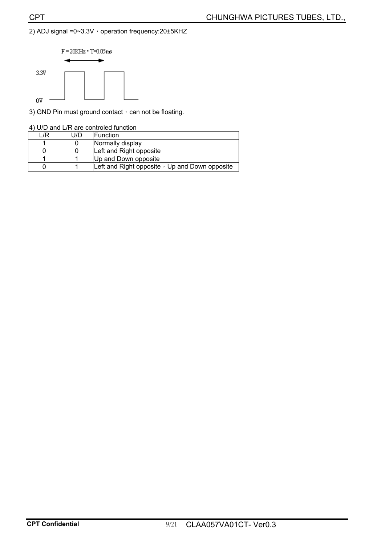#### 2) ADJ signal =0~3.3V , operation frequency:20±5KHZ



3) GND Pin must ground contact, can not be floating.

|  |  |  |  |  | 4) U/D and L/R are controled function |  |
|--|--|--|--|--|---------------------------------------|--|
|--|--|--|--|--|---------------------------------------|--|

| /R | U/D | <b>IFunction</b>                                     |
|----|-----|------------------------------------------------------|
|    |     | Normally display                                     |
|    |     | Left and Right opposite                              |
|    |     | Up and Down opposite                                 |
|    |     | Left and Right opposite $\cdot$ Up and Down opposite |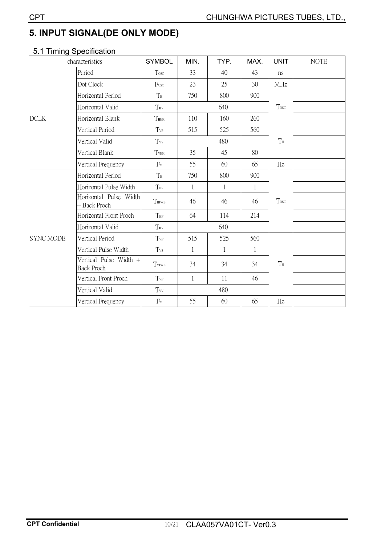## **5. INPUT SIGNAL(DE ONLY MODE)**

## 5.1 Timing Specification

| characteristics  |                                             | <b>SYMBOL</b> | MIN.         | TYP.         | MAX.         | <b>UNIT</b>    | <b>NOTE</b> |
|------------------|---------------------------------------------|---------------|--------------|--------------|--------------|----------------|-------------|
|                  | Period                                      | Tosc          | 33           | 40           | 43           | ns             |             |
|                  | Dot Clock                                   | Fosc          | 23           | 25           | 30           | <b>MHz</b>     |             |
|                  | Horizontal Period                           | $T_{\rm H}$   | 750          | 800          | 900          |                |             |
|                  | Horizontal Valid                            | THV           |              | 640          |              | Tosc           |             |
| <b>DCLK</b>      | Horizontal Blank                            | THBK          | 110          | 160          | 260          |                |             |
|                  | Vertical Period                             | Tvp           | 515          | 525          | 560          |                |             |
|                  | Vertical Valid                              | $T_{VV}$      |              | 480          |              | $T_{\rm H}$    |             |
|                  | Vertical Blank                              | TVBK          | 35           | 45           | 80           |                |             |
|                  | Vertical Frequency                          | $F_v$         | 55           | 60           | 65           | Hz             |             |
|                  | Horizontal Period                           | $T_{\rm H}$   | 750          | 800          | 900          |                |             |
|                  | Horizontal Pulse Width                      | $T_{\rm HS}$  | $\mathbf{1}$ | $\mathbf{1}$ | $\mathbf{1}$ |                |             |
|                  | Horizontal Pulse Width<br>+ Back Proch      | THPWB         | 46           | 46           | 46           | Tosc           |             |
|                  | Horizontal Front Proch                      | $T_{\rm HF}$  | 64           | 114          | 214          |                |             |
|                  | Horizontal Valid                            | THV           |              | 640          |              |                |             |
| <b>SYNC MODE</b> | Vertical Period                             | Tvp           | 515          | 525          | 560          |                |             |
|                  | Vertical Pulse Width                        | Tvs           | 1            | 1            | 1            |                |             |
|                  | Vertical Pulse Width +<br><b>Back Proch</b> | TVPWB         | 34           | 34           | 34           | T <sub>H</sub> |             |
|                  | Vertical Front Proch                        | $T_{\rm VF}$  | $\mathbf{1}$ | 11           | 46           |                |             |
|                  | Vertical Valid                              | $T_{vv}$      |              | 480          |              |                |             |
|                  | Vertical Frequency                          | $F_v$         | 55           | 60           | 65           | Hz             |             |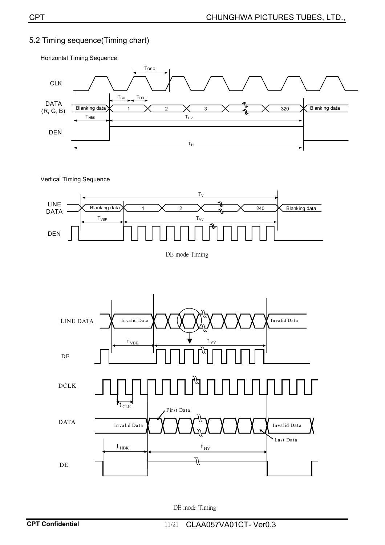#### 5.2 Timing sequence(Timing chart)

Blanking data  $\overline{)$  1  $\overline{)$   $\overline{)$  2  $\overline{)$  3  $\overline{)$  3  $\overline{)$  320  $\overline{)}}$  Blanking data CLK DATA (R, G, B) Tosc  $T_{\text{SU}}$   $T_{\text{HD}}$ 2 X 3 DEN  $\mathsf{T}_{\mathsf{H}\mathsf{B}\mathsf{K}}$  ,  $\qquad \qquad \mathsf{T}_{\mathsf{H}\mathsf{V}}$  $T_H$ 

Horizontal Timing Sequence





DE mode Timing



DE mode Timing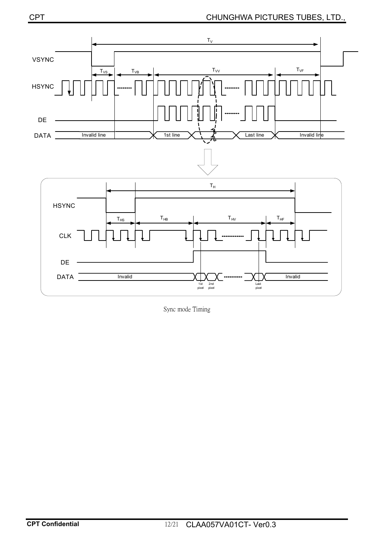

Sync mode Timing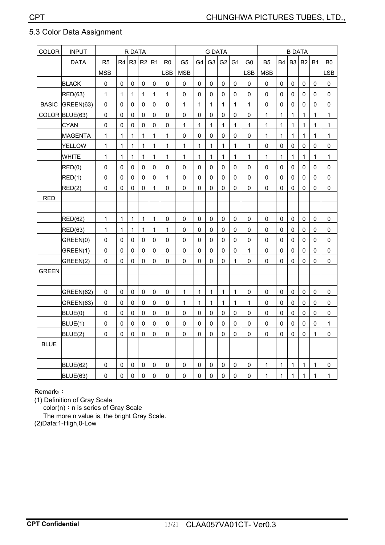#### 5.3 Color Data Assignment

| COLOR        | <b>INPUT</b>    | R DATA              |                |                |              | <b>G DATA</b> |                |                |              | <b>B DATA</b>  |                |                |                |              |              |                |              |              |                |
|--------------|-----------------|---------------------|----------------|----------------|--------------|---------------|----------------|----------------|--------------|----------------|----------------|----------------|----------------|--------------|--------------|----------------|--------------|--------------|----------------|
|              | <b>DATA</b>     | R <sub>5</sub>      | R <sub>4</sub> | R <sub>3</sub> | R2           | R1            | R <sub>0</sub> | G <sub>5</sub> | G4           | G <sub>3</sub> | G <sub>2</sub> | G <sub>1</sub> | G <sub>0</sub> | <b>B5</b>    | <b>B4</b>    | B <sub>3</sub> | <b>B2</b>    | <b>B1</b>    | B <sub>0</sub> |
|              |                 | <b>MSB</b>          |                |                |              |               | <b>LSB</b>     | <b>MSB</b>     |              |                |                |                | <b>LSB</b>     | <b>MSB</b>   |              |                |              |              | <b>LSB</b>     |
|              | <b>BLACK</b>    | $\mathsf{O}\xspace$ | 0              | $\mathsf 0$    | 0            | $\mathbf 0$   | $\pmb{0}$      | 0              | 0            | 0              | 0              | 0              | $\mathbf 0$    | $\mathbf 0$  | $\mathbf 0$  | 0              | $\mathbf 0$  | 0            | $\mathsf 0$    |
|              | RED(63)         | $\mathbf{1}$        | $\mathbf 1$    | $\mathbf{1}$   | $\mathbf{1}$ | $\mathbf{1}$  | $\mathbf{1}$   | 0              | 0            | 0              | 0              | 0              | 0              | 0            | 0            | 0              | $\mathbf 0$  | 0            | 0              |
| <b>BASIC</b> | GREEN(63)       | $\mathbf 0$         | $\Omega$       | 0              | $\Omega$     | 0             | $\mathsf 0$    | 1              | 1            | 1              | $\mathbf{1}$   | $\mathbf{1}$   | 1              | 0            | $\Omega$     | 0              | $\mathbf{0}$ | $\Omega$     | 0              |
|              | COLOR BLUE(63)  | 0                   | $\mathbf 0$    | $\mathbf 0$    | 0            | $\mathbf 0$   | $\pmb{0}$      | 0              | $\mathbf 0$  | $\pmb{0}$      | 0              | 0              | $\mathbf 0$    | $\mathbf{1}$ | $\mathbf{1}$ | $\mathbf 1$    | $\mathbf{1}$ | $\mathbf{1}$ | $\mathbf 1$    |
|              | <b>CYAN</b>     | $\pmb{0}$           | $\mathbf 0$    | $\pmb{0}$      | 0            | 0             | $\mathsf 0$    | 1              | $\mathbf{1}$ | 1              | $\mathbf 1$    | $\mathbf{1}$   | $\mathbf{1}$   | $\mathbf{1}$ | 1            | 1              | $\mathbf{1}$ | $\mathbf{1}$ | $\mathbf 1$    |
|              | <b>MAGENTA</b>  | $\mathbf{1}$        | $\mathbf{1}$   | 1              | 1            | $\mathbf{1}$  | $\mathbf{1}$   | 0              | 0            | $\mathbf{0}$   | $\mathbf{0}$   | $\Omega$       | $\mathbf{0}$   | $\mathbf{1}$ | $\mathbf{1}$ | 1              | $\mathbf{1}$ | $\mathbf{1}$ | 1              |
|              | <b>YELLOW</b>   | $\mathbf{1}$        | $\mathbf{1}$   | $\mathbf{1}$   | $\mathbf{1}$ | $\mathbf{1}$  | $\mathbf{1}$   | $\mathbf 1$    | 1            | 1              | $\mathbf 1$    | $\mathbf 1$    | $\mathbf{1}$   | $\mathbf 0$  | $\mathbf 0$  | $\mathbf 0$    | $\mathbf 0$  | 0            | $\pmb{0}$      |
|              | <b>WHITE</b>    | $\mathbf{1}$        | $\mathbf{1}$   | $\mathbf{1}$   | $\mathbf{1}$ | $\mathbf{1}$  | $\mathbf{1}$   | 1              | $\mathbf{1}$ | $\mathbf{1}$   | $\mathbf{1}$   | $\mathbf{1}$   | $\mathbf{1}$   | $\mathbf{1}$ | $\mathbf{1}$ | $\mathbf{1}$   | $\mathbf{1}$ | $\mathbf{1}$ | 1              |
|              | RED(0)          | $\mathbf 0$         | $\Omega$       | 0              | $\Omega$     | 0             | $\mathbf 0$    | 0              | 0            | 0              | $\mathsf 0$    | 0              | $\Omega$       | $\Omega$     | $\Omega$     | 0              | $\mathbf 0$  | $\Omega$     | 0              |
|              | RED(1)          | 0                   | 0              | $\mathbf 0$    | 0            | 0             | $\mathbf{1}$   | $\mathsf 0$    | 0            | $\mathbf 0$    | $\mathbf 0$    | $\mathbf 0$    | $\mathbf 0$    | $\mathbf 0$  | $\mathbf 0$  | $\mathbf 0$    | $\mathbf 0$  | 0            | $\pmb{0}$      |
|              | RED(2)          | 0                   | 0              | 0              | 0            | $\mathbf{1}$  | 0              | 0              | 0            | 0              | 0              | 0              | 0              | 0            | 0            | 0              | $\mathbf 0$  | 0            | $\mathsf 0$    |
| <b>RED</b>   |                 |                     |                |                |              |               |                |                |              |                |                |                |                |              |              |                |              |              |                |
|              |                 |                     |                |                |              |               |                |                |              |                |                |                |                |              |              |                |              |              |                |
|              | <b>RED(62)</b>  | $\mathbf 1$         | $\mathbf 1$    | 1              | $\mathbf{1}$ | $\mathbf 1$   | $\mathsf 0$    | $\mathsf 0$    | $\mathsf 0$  | 0              | 0              | $\mathbf 0$    | $\mathsf 0$    | $\mathbf 0$  | $\mathbf 0$  | 0              | $\pmb{0}$    | $\mathbf 0$  | $\pmb{0}$      |
|              | RED(63)         | $\mathbf{1}$        | $\mathbf{1}$   | 1              | $\mathbf{1}$ | $\mathbf{1}$  | 1              | 0              | 0            | 0              | 0              | 0              | $\Omega$       | $\Omega$     | $\Omega$     | 0              | $\mathbf 0$  | $\Omega$     | 0              |
|              | GREEN(0)        | $\mathsf 0$         | 0              | $\pmb{0}$      | 0            | 0             | $\mathbf 0$    | $\mathsf 0$    | 0            | $\pmb{0}$      | $\mathbf 0$    | 0              | 0              | 0            | $\mathbf 0$  | 0              | $\mathbf 0$  | 0            | $\pmb{0}$      |
|              | GREEN(1)        | 0                   | $\mathbf{0}$   | $\pmb{0}$      | $\Omega$     | $\mathbf{0}$  | 0              | 0              | 0            | $\mathbf{0}$   | $\Omega$       | 0              | $\mathbf{1}$   | 0            | $\mathbf{0}$ | 0              | $\mathbf{0}$ | $\mathbf{0}$ | 0              |
|              | GREEN(2)        | 0                   | 0              | 0              | $\Omega$     | $\Omega$      | 0              | 0              | 0            | $\mathbf{0}$   | 0              | $\mathbf{1}$   | 0              | 0            | $\Omega$     | 0              | $\Omega$     | $\Omega$     | 0              |
| <b>GREEN</b> |                 |                     |                |                |              |               |                |                |              |                |                |                |                |              |              |                |              |              |                |
|              |                 |                     |                |                |              |               |                |                |              |                |                |                |                |              |              |                |              |              |                |
|              | GREEN(62)       | 0                   | 0              | 0              | 0            | 0             | 0              | 1              | 1            | 1              | $\mathbf 1$    | 1              | 0              | 0            | 0            | 0              | 0            | 0            | 0              |
|              | GREEN(63)       | $\mathbf 0$         | 0              | $\pmb{0}$      | 0            | 0             | $\mathbf 0$    | $\mathbf 1$    | $\mathbf{1}$ | $\mathbf{1}$   | $\mathbf{1}$   | $\mathbf{1}$   | $\mathbf{1}$   | 0            | 0            | 0              | $\mathbf 0$  | 0            | $\pmb{0}$      |
|              | BLUE(0)         | 0                   | 0              | 0              | 0            | 0             | 0              | 0              | 0            | 0              | 0              | 0              | 0              | 0            | 0            | 0              | $\mathbf 0$  | 0            | $\pmb{0}$      |
|              | BLUE(1)         | 0                   | 0              | $\Omega$       | $\Omega$     | 0             | 0              | $\mathbf 0$    | 0            | $\mathbf{0}$   | 0              | $\Omega$       | $\mathbf{0}$   | 0            | $\Omega$     | 0              | $\Omega$     | $\Omega$     | 1              |
|              | BLUE(2)         | 0                   | $\mathbf 0$    | 0              | 0            | $\mathbf{0}$  | 0              | $\mathsf 0$    | $\mathbf 0$  | $\mathbf 0$    | $\mathbf 0$    | 0              | 0              | 0            | 0            | 0              | $\mathbf 0$  | $\mathbf{1}$ | $\pmb{0}$      |
| <b>BLUE</b>  |                 |                     |                |                |              |               |                |                |              |                |                |                |                |              |              |                |              |              |                |
|              |                 |                     |                |                |              |               |                |                |              |                |                |                |                |              |              |                |              |              |                |
|              | <b>BLUE(62)</b> | $\mathbf 0$         | $\pmb{0}$      | $\pmb{0}$      | 0            | $\mathsf 0$   | $\mathbf 0$    | 0              | $\mathsf 0$  | 0              | 0              | $\mathsf 0$    | $\mathsf 0$    | $\mathbf{1}$ | 1            | $\mathbf{1}$   | $\mathbf{1}$ | $\mathbf 1$  | $\pmb{0}$      |
|              | BLUE(63)        | 0                   | 0              | 0              | $\mathbf 0$  | 0             | 0              | 0              | 0            | 0              | 0              | 0              | 0              | $\mathbf{1}$ | $\mathbf{1}$ | $\mathbf 1$    | 1            | 1            | 1              |

Remark<sub>s</sub>:

(1) Definition of Gray Scale

 $color(n): n$  is series of Gray Scale

The more n value is, the bright Gray Scale.

(2)Data:1-High,0-Low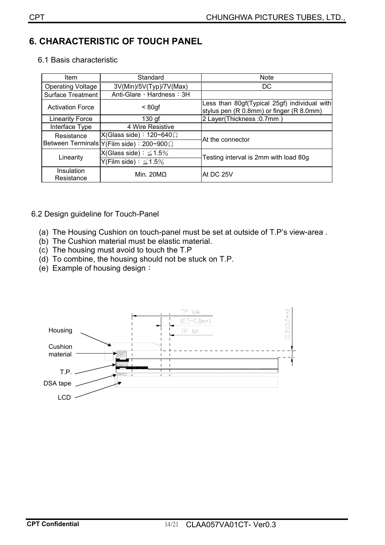#### **6. CHARACTERISTIC OF TOUCH PANEL**

| <b>Item</b>              | Standard                                             | <b>Note</b>                                                                              |  |  |  |  |
|--------------------------|------------------------------------------------------|------------------------------------------------------------------------------------------|--|--|--|--|
| <b>Operating Voltage</b> | 3V(Min)/5V(Typ)/7V(Max)                              | DC                                                                                       |  |  |  |  |
| <b>Surface Treatment</b> | Anti-Glare, Hardness: 3H                             |                                                                                          |  |  |  |  |
| <b>Activation Force</b>  | $< 80$ gf                                            | Less than 80gf(Typical 25gf) individual with<br>stylus pen (R 0.8mm) or finger (R 8.0mm) |  |  |  |  |
| <b>Linearity Force</b>   | $130$ gf                                             | 2 Layer(Thickness: 0.7mm)                                                                |  |  |  |  |
| Interface Type           | 4 Wire Resistive                                     |                                                                                          |  |  |  |  |
| Resistance               | X(Glass side): $120 \sim 640 \Omega$                 | lAt the connector                                                                        |  |  |  |  |
|                          | Between Terminals $Y$ (Film side) : 200~900 $\Omega$ |                                                                                          |  |  |  |  |
|                          | $X(Glass side): \leq 1.5\%$                          | Testing interval is 2mm with load 80g                                                    |  |  |  |  |
| Linearity                | Y(Film side) : $\leq 1.5\%$                          |                                                                                          |  |  |  |  |
| Insulation<br>Resistance | Min. $20MO$                                          | At DC 25V                                                                                |  |  |  |  |

#### 6.2 Design guideline for Touch-Panel

- (a) The Housing Cushion on touch-panel must be set at outside of T.P's view-area .
- (b) The Cushion material must be elastic material.
- (c) The housing must avoid to touch the T.P
- (d) To combine, the housing should not be stuck on T.P.
- (e) Example of housing design:

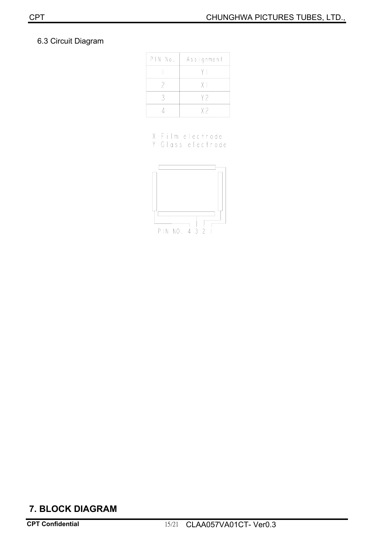#### 6.3 Circuit Diagram

| PIN No. | Assignment     |  |  |  |  |
|---------|----------------|--|--|--|--|
|         |                |  |  |  |  |
|         | ΧI             |  |  |  |  |
|         | Y?             |  |  |  |  |
|         | X <sub>2</sub> |  |  |  |  |

X:Film electrode Y: Glass electrode



## **7. BLOCK DIAGRAM**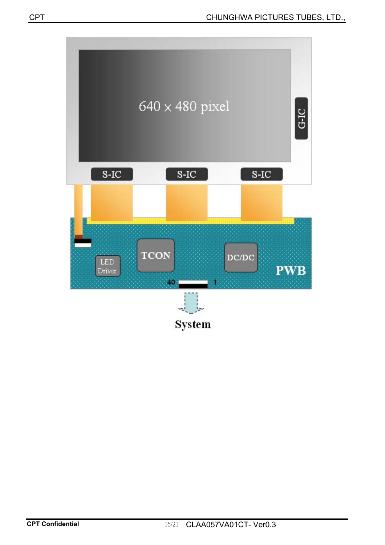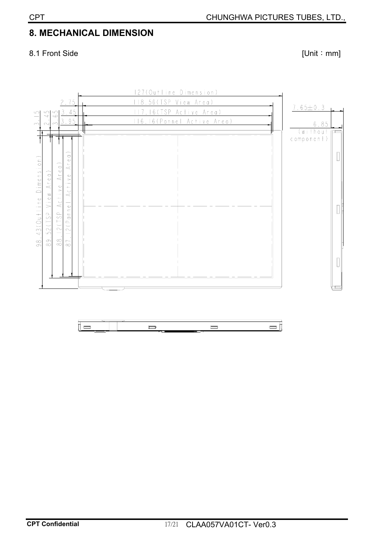## **8. MECHANICAL DIMENSION**

#### 8.1 Front Side [Unit : mm]

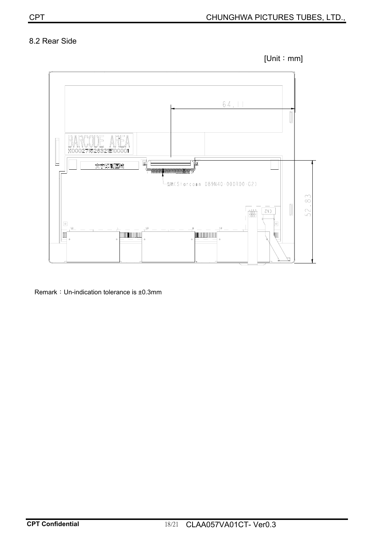#### 8.2 Rear Side





Remark: Un-indication tolerance is ±0.3mm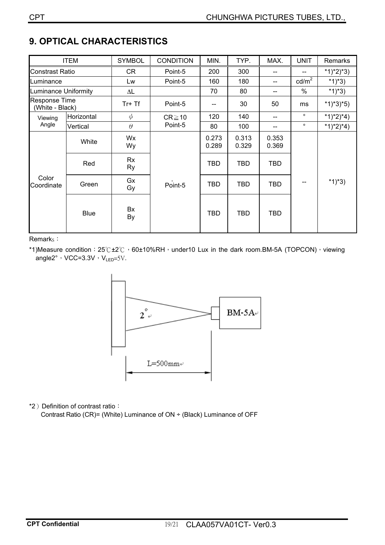## **9. OPTICAL CHARACTERISTICS**

| <b>ITEM</b>                      |             | <b>SYMBOL</b>       | <b>CONDITION</b> | MIN.           | TYP.           | MAX.           | <b>UNIT</b>     | Remarks     |
|----------------------------------|-------------|---------------------|------------------|----------------|----------------|----------------|-----------------|-------------|
| <b>Constrast Ratio</b>           |             | CR                  | Point-5          | 200            | 300            | --             |                 | $*1)*2)*3)$ |
| Luminance                        |             | Lw                  | Point-5          | 160            | 180            | --             | $\text{cd/m}^2$ | $*1)*3)$    |
| Luminance Uniformity             |             | $\Delta \mathsf{L}$ |                  | 70             | 80             | --             | %               | $*1)*3)$    |
| Response Time<br>(White - Black) |             | $Tr+Tf$             | Point-5          |                | 30             | 50             | ms              | $*1)*3*5)$  |
| Horizontal<br>Viewing            |             | $\phi$              | $CR \ge 10$      | 120            | 140            | --             | $\circ$         | $*1)*2)*4)$ |
| Angle                            | Vertical    | $\theta$            | Point-5          | 80             | 100            | --             | $\circ$         | $*1)*2)*4)$ |
| Color<br>Coordinate              | White       | Wx<br>Wy            |                  | 0.273<br>0.289 | 0.313<br>0.329 | 0.353<br>0.369 |                 | $*1)*3)$    |
|                                  | Red         | Rx<br>Ry            |                  | <b>TBD</b>     | <b>TBD</b>     | <b>TBD</b>     | --              |             |
|                                  | Green       | Gx<br>Gy            | Point-5          | <b>TBD</b>     | <b>TBD</b>     | <b>TBD</b>     |                 |             |
|                                  | <b>Blue</b> | Bx<br>By            |                  | <b>TBD</b>     | <b>TBD</b>     | <b>TBD</b>     |                 |             |

Remark<sub>s</sub>:

\*1)Measure condition:  $25^\circ C \pm 2^\circ C$ , 60±10%RH, under10 Lux in the dark room.BM-5A (TOPCON), viewing angle2°, VCC=3.3V,  $V_{LED}$ =5V.



\*2) Definition of contrast ratio:

Contrast Ratio (CR)= (White) Luminance of ON ÷ (Black) Luminance of OFF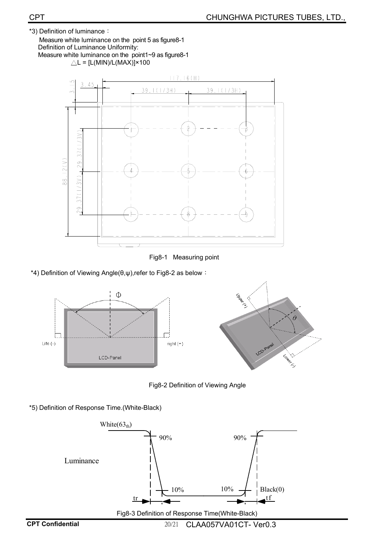\*3) Definition of luminance: Measure white luminance on the point 5 as figure8-1 Definition of Luminance Uniformity:

Measure white luminance on the point1~9 as figure8-1  $\triangle L = [L(MIN)/L(MAX)] \times 100$ 



Fig8-1 Measuring point

\*4) Definition of Viewing Angle( $\theta, \psi$ ),refer to Fig8-2 as below :



Fig8-2 Definition of Viewing Angle

\*5) Definition of Response Time.(White-Black)